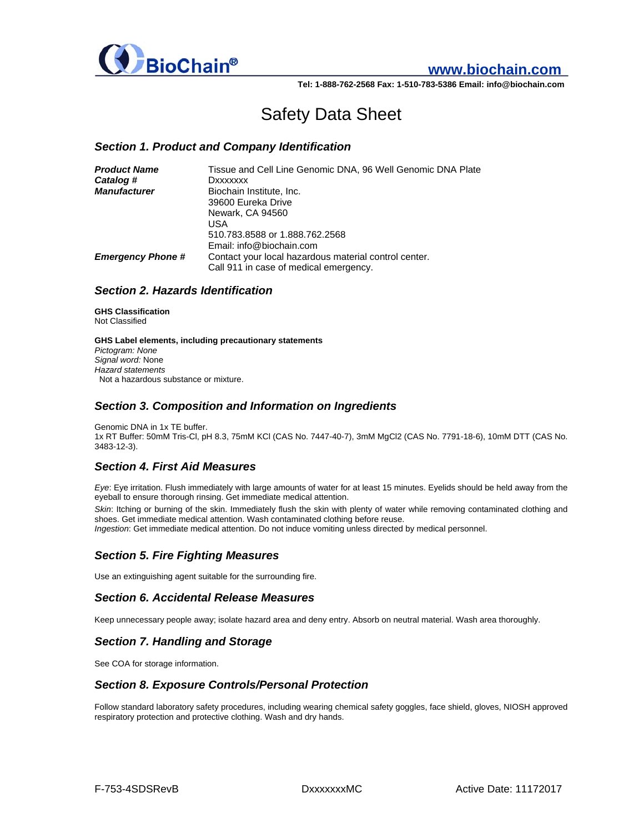

# **www.biochain.com**

**Tel: 1-888-762-2568 Fax: 1-510-783-5386 Email: info@biochain.com**

# Safety Data Sheet

#### *Section 1. Product and Company Identification*

| <b>Product Name</b>      | Tissue and Cell Line Genomic DNA, 96 Well Genomic DNA Plate |
|--------------------------|-------------------------------------------------------------|
| Catalog #                | Dxxxxxxx                                                    |
| <b>Manufacturer</b>      | Biochain Institute, Inc.                                    |
|                          | 39600 Eureka Drive                                          |
|                          | Newark, CA 94560                                            |
|                          | USA                                                         |
|                          | 510.783.8588 or 1.888.762.2568                              |
|                          | Email: info@biochain.com                                    |
| <b>Emergency Phone #</b> | Contact your local hazardous material control center.       |
|                          | Call 911 in case of medical emergency.                      |

## *Section 2. Hazards Identification*

**GHS Classification**  Not Classified

**GHS Label elements, including precautionary statements**  *Pictogram: None Signal word:* None *Hazard statements*  Not a hazardous substance or mixture.

#### *Section 3. Composition and Information on Ingredients*

Genomic DNA in 1x TE buffer. 1x RT Buffer: 50mM Tris-Cl, pH 8.3, 75mM KCl (CAS No. 7447-40-7), 3mM MgCl2 (CAS No. 7791-18-6), 10mM DTT (CAS No. 3483-12-3).

## *Section 4. First Aid Measures*

*Eye*: Eye irritation. Flush immediately with large amounts of water for at least 15 minutes. Eyelids should be held away from the eyeball to ensure thorough rinsing. Get immediate medical attention.

*Skin*: Itching or burning of the skin. Immediately flush the skin with plenty of water while removing contaminated clothing and shoes. Get immediate medical attention. Wash contaminated clothing before reuse.

*Ingestion*: Get immediate medical attention. Do not induce vomiting unless directed by medical personnel.

## *Section 5. Fire Fighting Measures*

Use an extinguishing agent suitable for the surrounding fire.

## *Section 6. Accidental Release Measures*

Keep unnecessary people away; isolate hazard area and deny entry. Absorb on neutral material. Wash area thoroughly.

#### *Section 7. Handling and Storage*

See COA for storage information.

## *Section 8. Exposure Controls/Personal Protection*

Follow standard laboratory safety procedures, including wearing chemical safety goggles, face shield, gloves, NIOSH approved respiratory protection and protective clothing. Wash and dry hands.